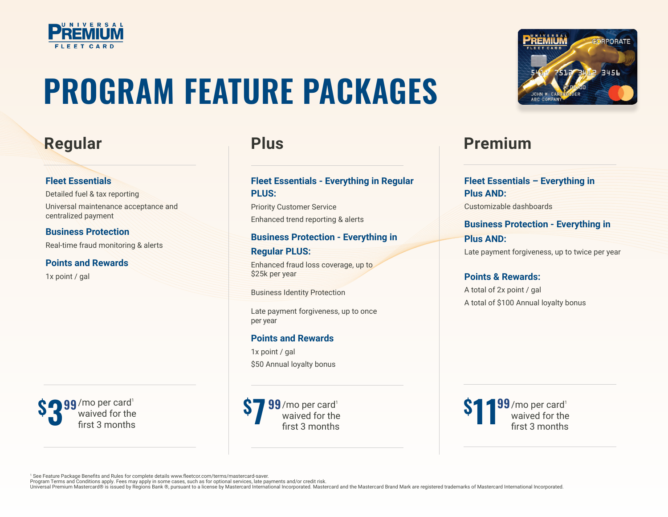

# **PROGRAM FEATURE PACKAGES**

## **Fleet Essentials**

Detailed fuel & tax reporting Universal maintenance acceptance and centralized payment

**Business Protection** Real-time fraud monitoring & alerts

**Points and Rewards** 1x point / gal



## **Fleet Essentials - Everything in Regular PLUS:**

Priority Customer Service Enhanced trend reporting & alerts

### **Business Protection - Everything in**

## **Regular PLUS:**

Enhanced fraud loss coverage, up to \$25k per year

Business Identity Protection

Late payment forgiveness, up to once per year

## **Points and Rewards**

1x point / gal \$50 Annual loyalty bonus

 $99$ /mo per card $^{\rm 1}$ waived for the first 3 months **7 99**/mo per card'<br>waived for the<br>first 3 months **11 <sup>99</sup> <sup>99</sup> <sup>99</sup>**



## **Regular Plus Premium**

**Fleet Essentials – Everything in Plus AND:** Customizable dashboards **Business Protection - Everything in Plus AND:**

Late payment forgiveness, up to twice per year

## **Points & Rewards:**

A total of 2x point / gal A total of \$100 Annual loyalty bonus



1 See Feature Package Benefits and Rules for complete details www.fleetcor.com/terms/mastercard-saver.

Program Terms and Conditions apply. Fees may apply in some cases, such as for optional services, late payments and/or credit risk.<br>Universal Premium Mastercard® is issued by Regions Bank ®, pursuant to a license by Masterc